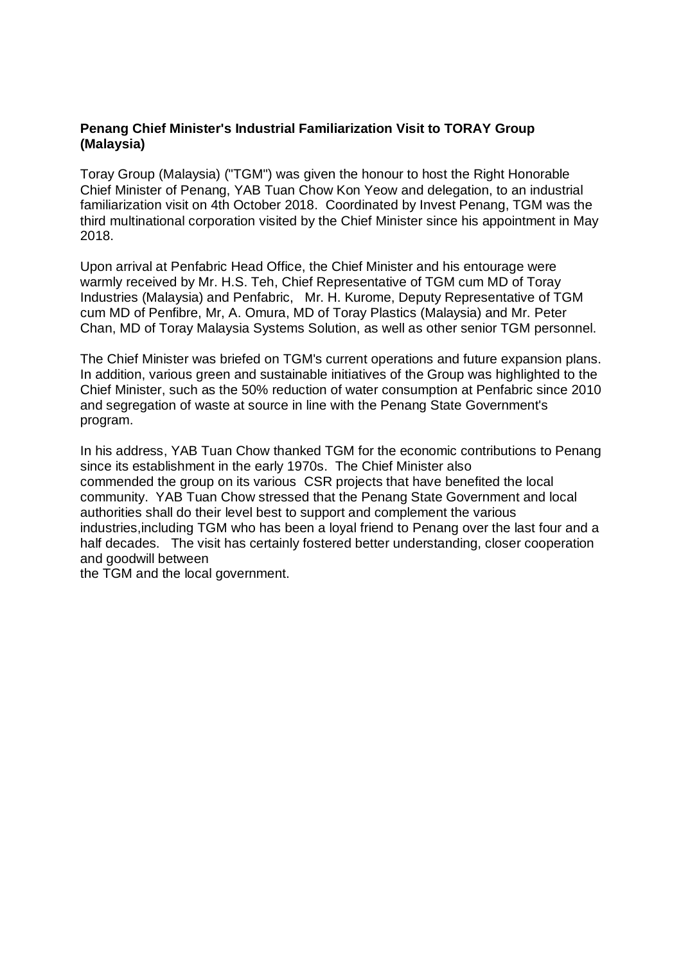## **Penang Chief Minister's Industrial Familiarization Visit to TORAY Group (Malaysia)**

Toray Group (Malaysia) ("TGM") was given the honour to host the Right Honorable Chief Minister of Penang, YAB Tuan Chow Kon Yeow and delegation, to an industrial familiarization visit on 4th October 2018. Coordinated by Invest Penang, TGM was the third multinational corporation visited by the Chief Minister since his appointment in May 2018.

Upon arrival at Penfabric Head Office, the Chief Minister and his entourage were warmly received by Mr. H.S. Teh, Chief Representative of TGM cum MD of Toray Industries (Malaysia) and Penfabric, Mr. H. Kurome, Deputy Representative of TGM cum MD of Penfibre, Mr, A. Omura, MD of Toray Plastics (Malaysia) and Mr. Peter Chan, MD of Toray Malaysia Systems Solution, as well as other senior TGM personnel.

The Chief Minister was briefed on TGM's current operations and future expansion plans. In addition, various green and sustainable initiatives of the Group was highlighted to the Chief Minister, such as the 50% reduction of water consumption at Penfabric since 2010 and segregation of waste at source in line with the Penang State Government's program.

In his address, YAB Tuan Chow thanked TGM for the economic contributions to Penang since its establishment in the early 1970s. The Chief Minister also commended the group on its various CSR projects that have benefited the local community. YAB Tuan Chow stressed that the Penang State Government and local authorities shall do their level best to support and complement the various industries,including TGM who has been a loyal friend to Penang over the last four and a half decades. The visit has certainly fostered better understanding, closer cooperation and goodwill between

the TGM and the local government.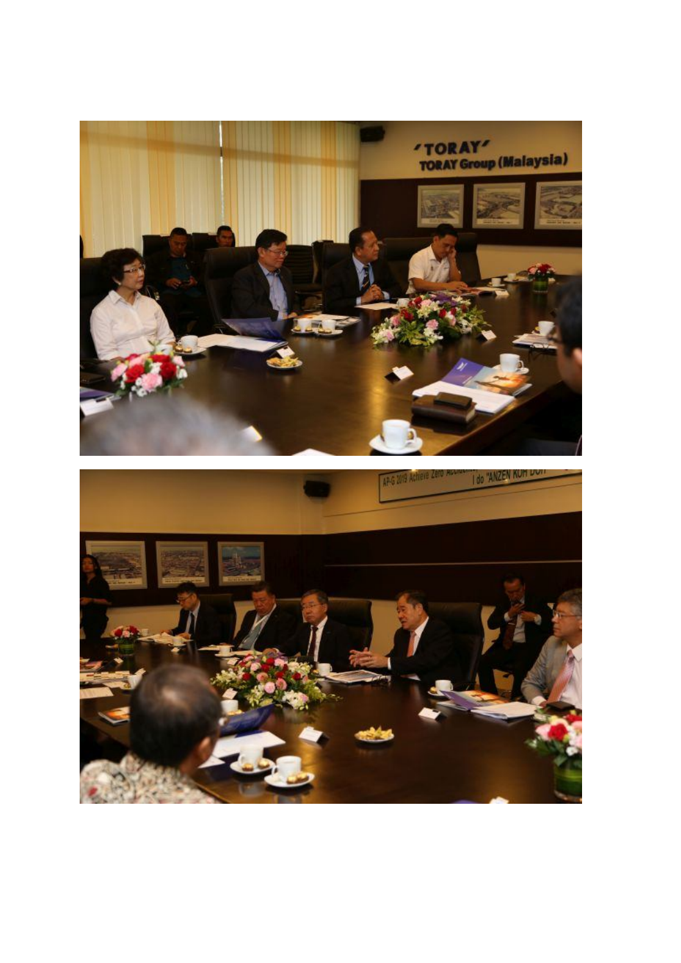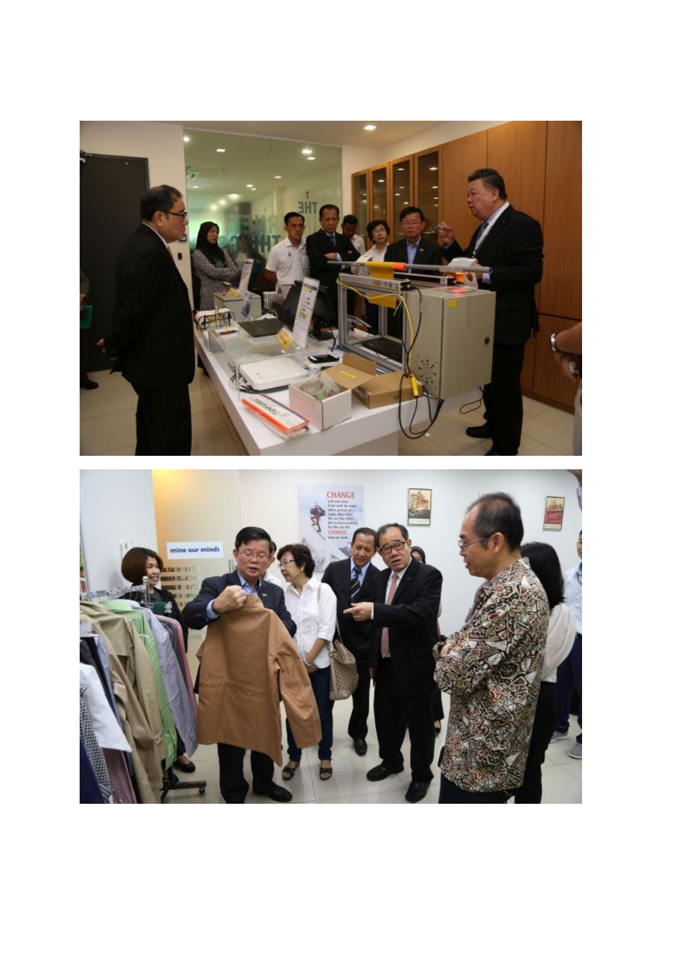